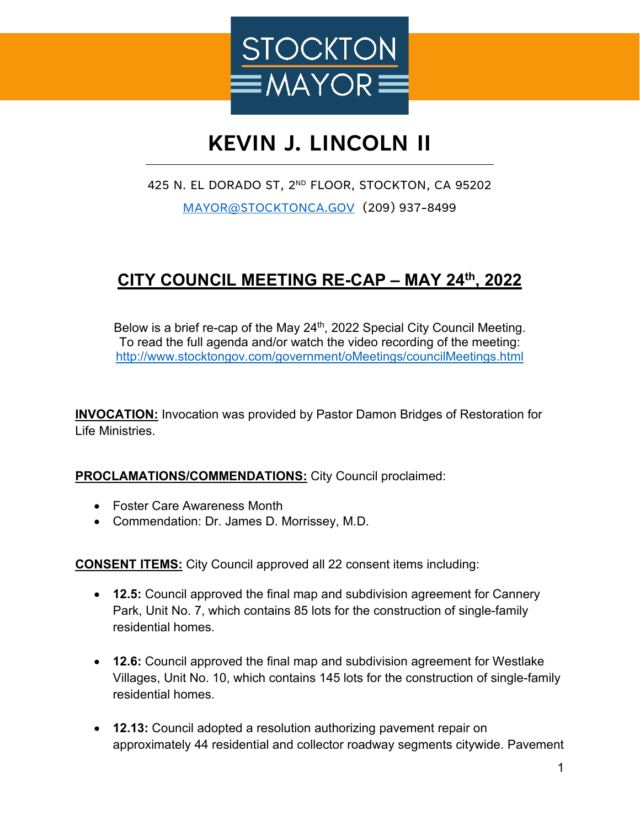

## **KEVIN J. LINCOLN II**

## 425 N. EL DORADO ST, 2<sup>ND</sup> FLOOR, STOCKTON, CA 95202 [MAYOR@STOCKTONCA.GOV](mailto:MAYOR@STOCKTONCA.GOV) (209) 937-8499

## **CITY COUNCIL MEETING RE-CAP – MAY 24th, 2022**

Below is a brief re-cap of the May 24<sup>th</sup>, 2022 Special City Council Meeting. To read the full agenda and/or watch the video recording of the meeting: <http://www.stocktongov.com/government/oMeetings/councilMeetings.html>

**INVOCATION:** Invocation was provided by Pastor Damon Bridges of Restoration for Life Ministries.

## **PROCLAMATIONS/COMMENDATIONS:** City Council proclaimed:

- Foster Care Awareness Month
- Commendation: Dr. James D. Morrissey, M.D.

**CONSENT ITEMS:** City Council approved all 22 consent items including:

- **12.5:** Council approved the final map and subdivision agreement for Cannery Park, Unit No. 7, which contains 85 lots for the construction of single-family residential homes.
- **12.6:** Council approved the final map and subdivision agreement for Westlake Villages, Unit No. 10, which contains 145 lots for the construction of single-family residential homes.
- **12.13:** Council adopted a resolution authorizing pavement repair on approximately 44 residential and collector roadway segments citywide. Pavement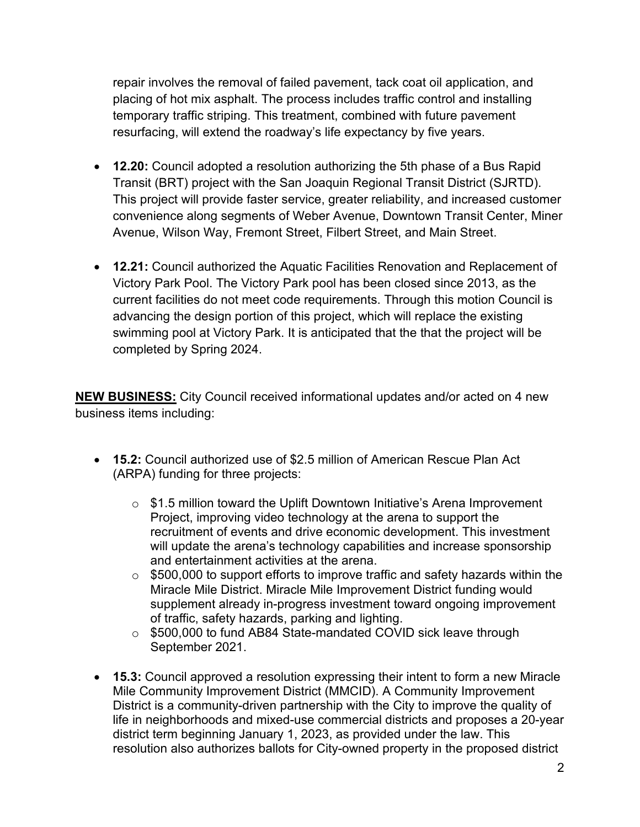repair involves the removal of failed pavement, tack coat oil application, and placing of hot mix asphalt. The process includes traffic control and installing temporary traffic striping. This treatment, combined with future pavement resurfacing, will extend the roadway's life expectancy by five years.

- **12.20:** Council adopted a resolution authorizing the 5th phase of a Bus Rapid Transit (BRT) project with the San Joaquin Regional Transit District (SJRTD). This project will provide faster service, greater reliability, and increased customer convenience along segments of Weber Avenue, Downtown Transit Center, Miner Avenue, Wilson Way, Fremont Street, Filbert Street, and Main Street.
- **12.21:** Council authorized the Aquatic Facilities Renovation and Replacement of Victory Park Pool. The Victory Park pool has been closed since 2013, as the current facilities do not meet code requirements. Through this motion Council is advancing the design portion of this project, which will replace the existing swimming pool at Victory Park. It is anticipated that the that the project will be completed by Spring 2024.

**NEW BUSINESS:** City Council received informational updates and/or acted on 4 new business items including:

- **15.2:** Council authorized use of \$2.5 million of American Rescue Plan Act (ARPA) funding for three projects:
	- o \$1.5 million toward the Uplift Downtown Initiative's Arena Improvement Project, improving video technology at the arena to support the recruitment of events and drive economic development. This investment will update the arena's technology capabilities and increase sponsorship and entertainment activities at the arena.
	- $\circ$  \$500,000 to support efforts to improve traffic and safety hazards within the Miracle Mile District. Miracle Mile Improvement District funding would supplement already in-progress investment toward ongoing improvement of traffic, safety hazards, parking and lighting.
	- o \$500,000 to fund AB84 State-mandated COVID sick leave through September 2021.
- **15.3:** Council approved a resolution expressing their intent to form a new Miracle Mile Community Improvement District (MMCID). A Community Improvement District is a community-driven partnership with the City to improve the quality of life in neighborhoods and mixed-use commercial districts and proposes a 20-year district term beginning January 1, 2023, as provided under the law. This resolution also authorizes ballots for City-owned property in the proposed district